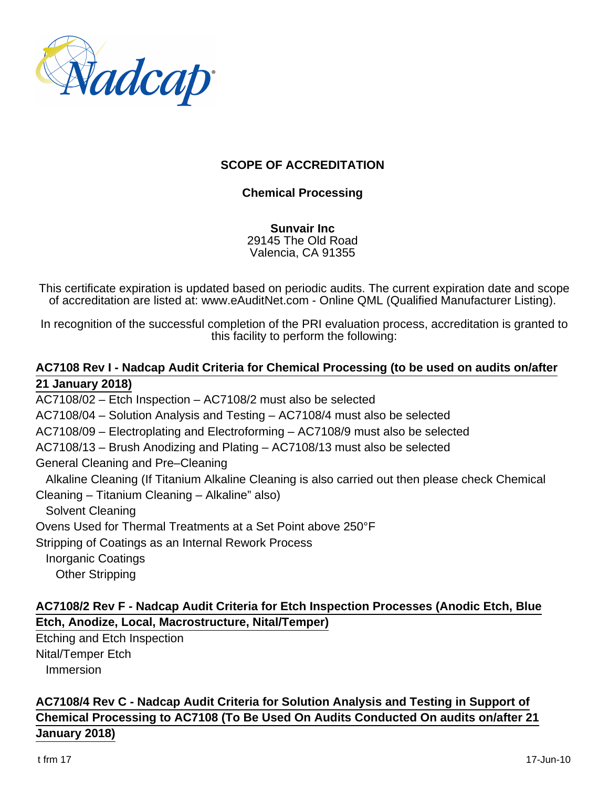

### **SCOPE OF ACCREDITATION**

### **Chemical Processing**

**Sunvair Inc** 29145 The Old Road Valencia, CA 91355

This certificate expiration is updated based on periodic audits. The current expiration date and scope of accreditation are listed at: www.eAuditNet.com - Online QML (Qualified Manufacturer Listing).

In recognition of the successful completion of the PRI evaluation process, accreditation is granted to this facility to perform the following:

### **AC7108 Rev I - Nadcap Audit Criteria for Chemical Processing (to be used on audits on/after 21 January 2018)**

AC7108/02 – Etch Inspection – AC7108/2 must also be selected

AC7108/04 – Solution Analysis and Testing – AC7108/4 must also be selected

AC7108/09 – Electroplating and Electroforming – AC7108/9 must also be selected

AC7108/13 – Brush Anodizing and Plating – AC7108/13 must also be selected

General Cleaning and Pre–Cleaning

Alkaline Cleaning (If Titanium Alkaline Cleaning is also carried out then please check Chemical

Cleaning – Titanium Cleaning – Alkaline" also)

Solvent Cleaning

Ovens Used for Thermal Treatments at a Set Point above 250°F

Stripping of Coatings as an Internal Rework Process

Inorganic Coatings

Other Stripping

## **AC7108/2 Rev F - Nadcap Audit Criteria for Etch Inspection Processes (Anodic Etch, Blue Etch, Anodize, Local, Macrostructure, Nital/Temper)**

Etching and Etch Inspection Nital/Temper Etch Immersion

# **AC7108/4 Rev C - Nadcap Audit Criteria for Solution Analysis and Testing in Support of Chemical Processing to AC7108 (To Be Used On Audits Conducted On audits on/after 21 January 2018)**